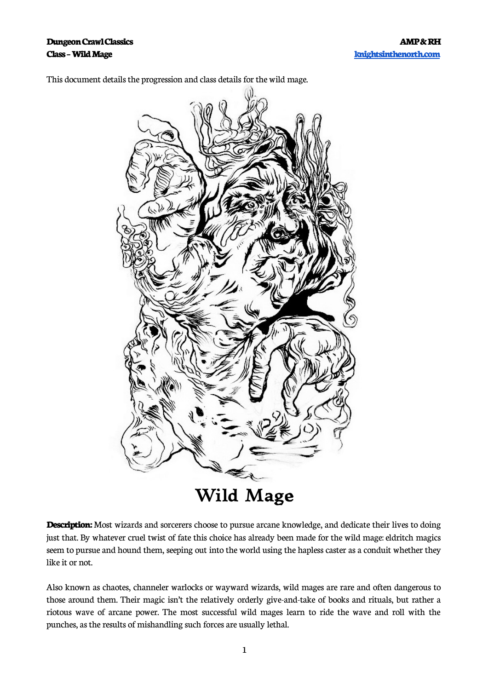This document details the progression and class details for the wild mage.



**Description:** Most wizards and sorcerers choose to pursue arcane knowledge, and dedicate their lives to doing just that. By whatever cruel twist of fate this choice has already been made for the wild mage: eldritch magics seem to pursue and hound them, seeping out into the world using the hapless caster as a conduit whether they like it or not.

Also known as chaotes, channeler warlocks or wayward wizards, wild mages are rare and often dangerous to those around them. Their magic isn't the relatively orderly give-and-take of books and rituals, but rather a riotous wave of arcane power. The most successful wild mages learn to ride the wave and roll with the punches, as the results of mishandling such forces are usually lethal.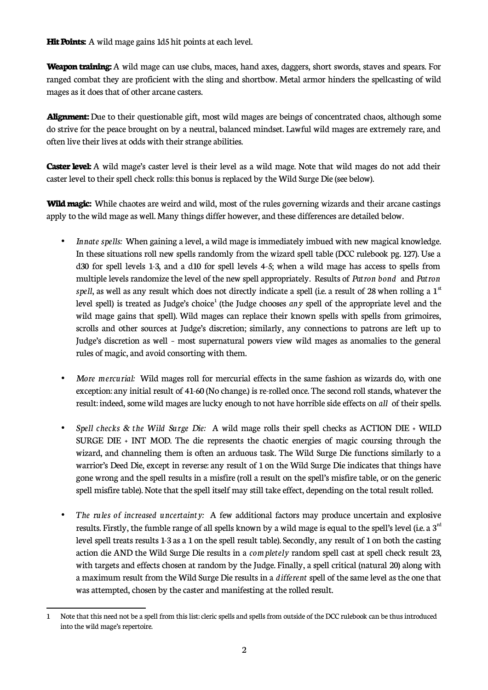**Hit Points:** A wild mage gains 1d5 hit points at each level.

**Weapon training:** A wild mage can use clubs, maces, hand axes, daggers, short swords, staves and spears. For ranged combat they are proficient with the sling and shortbow. Metal armor hinders the spellcasting of wild mages as it does that of other arcane casters.

**Alignment:** Due to their questionable gift, most wild mages are beings of concentrated chaos, although some do strive for the peace brought on by a neutral, balanced mindset. Lawful wild mages are extremely rare, and often live their lives at odds with their strange abilities.

**Caster level:** A wild mage's caster level is their level as a wild mage. Note that wild mages do not add their caster level to their spell check rolls: this bonus is replaced by the Wild Surge Die (see below).

**Wild magic:** While chaotes are weird and wild, most of the rules governing wizards and their arcane castings apply to the wild mage as well. Many things differ however, and these differences are detailed below.

- *Innate spells:* When gaining a level, a wild mage is immediately imbued with new magical knowledge. In these situations roll new spells randomly from the wizard spell table (DCC rulebook pg. 127). Use a d30 for spell levels 1-3, and a d10 for spell levels 4-5; when a wild mage has access to spells from multiple levels randomize the level of the new spell appropriately. Results of *Patron bond* and *Patron* spell, as well as any result which does not directly indicate a spell (i.e. a result of 28 when rolling a 1<sup>st</sup> level spell) is treated as Judge's choice<sup>[1](#page-1-0)</sup> (the Judge chooses *any* spell of the appropriate level and the wild mage gains that spell). Wild mages can replace their known spells with spells from grimoires, scrolls and other sources at Judge's discretion; similarly, any connections to patrons are left up to Judge's discretion as well – most supernatural powers view wild mages as anomalies to the general rules of magic, and avoid consorting with them.
- *More mercurial:* Wild mages roll for mercurial effects in the same fashion as wizards do, with one exception: any initial result of 41-60 (No change.) is re-rolled once. The second roll stands, whatever the result: indeed, some wild mages are lucky enough to not have horrible side effects on *all* of their spells.
- *Spell checks & the Wild Surge Die:* A wild mage rolls their spell checks as ACTION DIE + WILD SURGE DIE + INT MOD. The die represents the chaotic energies of magic coursing through the wizard, and channeling them is often an arduous task. The Wild Surge Die functions similarly to a warrior's Deed Die, except in reverse: any result of 1 on the Wild Surge Die indicates that things have gone wrong and the spell results in a misfire (roll a result on the spell's misfire table, or on the generic spell misfire table). Note that the spell itself may still take effect, depending on the total result rolled.
- *The rules of increased uncertainty:* A few additional factors may produce uncertain and explosive results. Firstly, the fumble range of all spells known by a wild mage is equal to the spell's level (i.e. a  $3<sup>rd</sup>$ level spell treats results 1-3 as a 1 on the spell result table). Secondly, any result of 1 on both the casting action die AND the Wild Surge Die results in a *completely* random spell cast at spell check result 23, with targets and effects chosen at random by the Judge. Finally, a spell critical (natural 20) along with a maximum result from the Wild Surge Die results in a *different* spell of the same level as the one that was attempted, chosen by the caster and manifesting at the rolled result.

<span id="page-1-0"></span><sup>1</sup> Note that this need not be a spell from this list: cleric spells and spells from outside of the DCC rulebook can be thus introduced into the wild mage's repertoire.